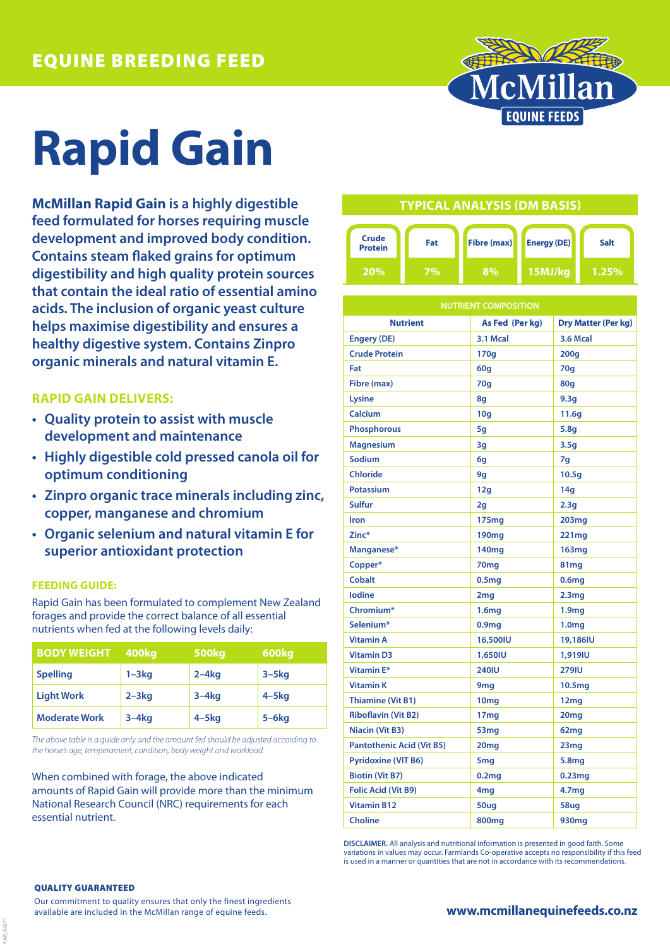

# **Rapid Gain**

**McMillan Rapid Gain is a highly digestible feed formulated for horses requiring muscle development and improved body condition. Contains steam flaked grains for optimum digestibility and high quality protein sources that contain the ideal ratio of essential amino acids. The inclusion of organic yeast culture helps maximise digestibility and ensures a healthy digestive system. Contains Zinpro organic minerals and natural vitamin E.**

### **RAPID GAIN DELIVERS:**

- **• Quality protein to assist with muscle development and maintenance**
- **• Highly digestible cold pressed canola oil for optimum conditioning**
- **• Zinpro organic trace minerals including zinc, copper, manganese and chromium**
- **• Organic selenium and natural vitamin E for superior antioxidant protection**

#### **FEEDING GUIDE:**

Rapid Gain has been formulated to complement New Zealand forages and provide the correct balance of all essential nutrients when fed at the following levels daily:

| <b>BODY WEIGHT</b>   | 400kg     | <b>500kg</b> | 600kg      |
|----------------------|-----------|--------------|------------|
| <b>Spelling</b>      | $1 - 3kq$ | $2 - 4$ kg   | $3 - 5$ kg |
| <b>Light Work</b>    | $2 - 3kq$ | $3-4kq$      | $4 - 5$ kg |
| <b>Moderate Work</b> | $3-4kq$   | $4 - 5$ kg   | $5 - 6$ kg |

*The above table is a guide only and the amount fed should be adjusted according to the horse's age, temperament, condition, body weight and workload.*

When combined with forage, the above indicated amounts of Rapid Gain will provide more than the minimum National Research Council (NRC) requirements for each essential nutrient.

## **TYPICAL ANALYSIS (DM BASIS)**



| <b>NUTRIENT COMPOSITION</b>      |                   |                            |  |  |
|----------------------------------|-------------------|----------------------------|--|--|
| <b>Nutrient</b>                  | As Fed (Per kg)   | <b>Dry Matter (Per kg)</b> |  |  |
| <b>Engery (DE)</b>               | 3.1 Mcal          | <b>3.6 Mcal</b>            |  |  |
| <b>Crude Protein</b>             | 170g              | 200q                       |  |  |
| Fat                              | 60q               | 70q                        |  |  |
| Fibre (max)                      | 70g               | 80q                        |  |  |
| Lysine                           | 8q                | 9.3q                       |  |  |
| Calcium                          | 10q               | 11.6q                      |  |  |
| <b>Phosphorous</b>               | 5g                | 5.8q                       |  |  |
| <b>Magnesium</b>                 | 3g                | 3.5g                       |  |  |
| Sodium                           | 6q                | 7q                         |  |  |
| <b>Chloride</b>                  | 9g                | 10.5q                      |  |  |
| <b>Potassium</b>                 | 12g               | 14q                        |  |  |
| Sulfur                           | 2g                | 2.3q                       |  |  |
| Iron                             | 175mg             | 203mg                      |  |  |
| Zinc*                            | 190 <sub>mg</sub> | 221mg                      |  |  |
| Manganese*                       | 140mg             | <b>163mg</b>               |  |  |
| Copper*                          | 70 <sub>mg</sub>  | 81mg                       |  |  |
| <b>Cobalt</b>                    | 0.5 <sub>mg</sub> | 0.6 <sub>mg</sub>          |  |  |
| lodine                           | 2mg               | 2.3 <sub>mg</sub>          |  |  |
| Chromium*                        | 1.6mg             | 1.9 <sub>mg</sub>          |  |  |
| Selenium*                        | 0.9 <sub>mg</sub> | 1.0 <sub>mg</sub>          |  |  |
| <b>Vitamin A</b>                 | 16,500IU          | 19,186IU                   |  |  |
| <b>Vitamin D3</b>                | 1,650IU           | 1,919IU                    |  |  |
| Vitamin E*                       | <b>240IU</b>      | <b>279IU</b>               |  |  |
| <b>Vitamin K</b>                 | 9 <sub>mg</sub>   | 10.5 <sub>mg</sub>         |  |  |
| <b>Thiamine (Vit B1)</b>         | 10 <sub>mg</sub>  | 12 <sub>mq</sub>           |  |  |
| <b>Riboflavin (Vit B2)</b>       | 17 <sub>mg</sub>  | 20 <sub>mg</sub>           |  |  |
| Niacin (Vit B3)                  | 53 <sub>mg</sub>  | 62 <sub>mg</sub>           |  |  |
| <b>Pantothenic Acid (Vit B5)</b> | 20mg              | 23mg                       |  |  |
| <b>Pyridoxine (VIT B6)</b>       | 5 <sub>mg</sub>   | 5.8mg                      |  |  |
| <b>Biotin (Vit B7)</b>           | 0.2mg             | 0.23mg                     |  |  |
| <b>Folic Acid (Vit B9)</b>       | 4mg               | 4.7 <sub>mg</sub>          |  |  |
| <b>Vitamin B12</b>               | 50ug              | 58ug                       |  |  |
| <b>Choline</b>                   | 800mg             | 930 <sub>mg</sub>          |  |  |

**DISCLAIMER.** All analysis and nutritional information is presented in good faith. Some variations in values may occur. Farmlands Co-operative accepts no responsibility if this feed is used in a manner or quantities that are not in accordance with its recommendations

#### QUALITY GUARANTEED

FAR\_04971

Our commitment to quality ensures that only the finest ingredients available are included in the McMillan range of equine feeds.